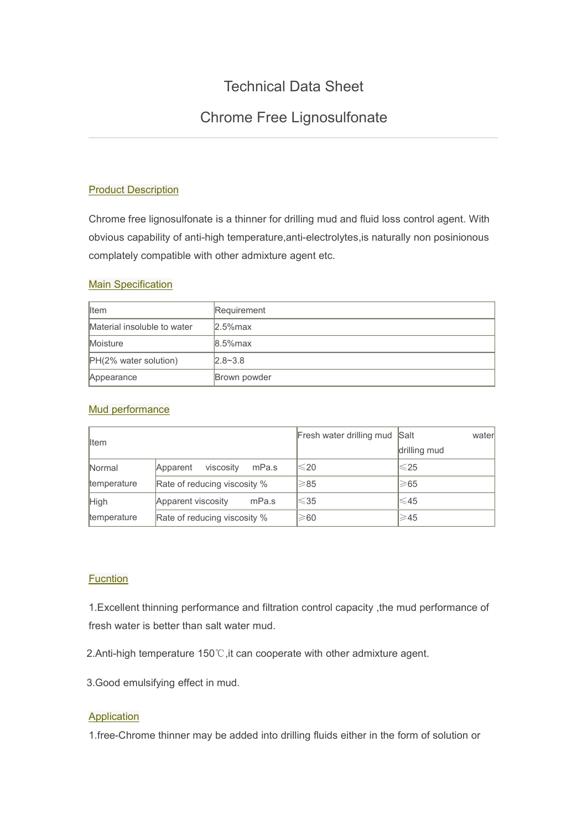# Technical Data Sheet

## Chrome Free Lignosulfonate

## **Product Description**

Chrome free lignosulfonate is a thinner for drilling mud and fluid loss control agent. With obvious capability of anti-high temperature,anti-electrolytes,is naturally non posinionous complately compatible with other admixture agent etc.

#### **Main Specification**

| <b>I</b> Item               | Requirement  |
|-----------------------------|--------------|
| Material insoluble to water | $2.5%$ max   |
| <b>Moisture</b>             | $8.5%$ max   |
| PH(2% water solution)       | $2.8 - 3.8$  |
| Appearance                  | Brown powder |

#### Mud performance

| <b>I</b> tem |                                | Fresh water drilling mud Salt | water          |
|--------------|--------------------------------|-------------------------------|----------------|
|              |                                |                               | drilling mud   |
| Normal       | viscosity<br>mPa.s<br>Apparent | $\leqslant$ 20                | $\leqslant$ 25 |
| temperature  | Rate of reducing viscosity %   | $\geqslant$ 85                | ≥65            |
| <b>High</b>  | Apparent viscosity<br>mPa.s    | $≤35$                         | $\leqslant$ 45 |
| temperature  | Rate of reducing viscosity %   | $\geqslant$ 60                | ≥45            |

### **Fucntion**

1.Excellent thinning performance and filtration control capacity ,the mud performance of fresh water is better than salt water mud.

2.Anti-high temperature 150℃,it can cooperate with other admixture agent.

3.Good emulsifying effect in mud.

## **Application**

1.free-Chrome thinner may be added into drilling fluids either in the form of solution or